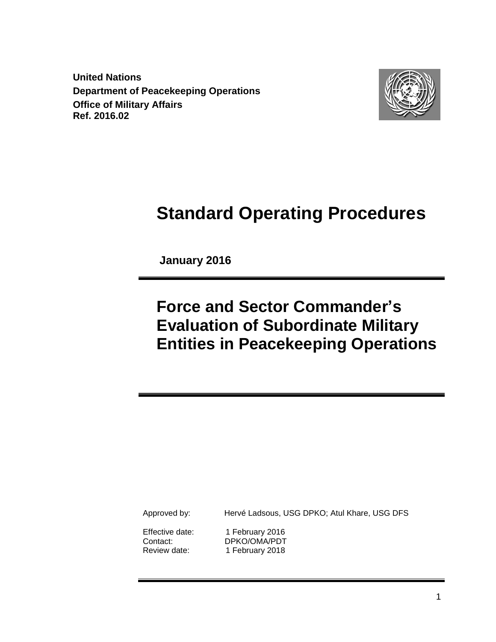**United Nations Department of Peacekeeping Operations Office of Military Affairs Ref. 2016.02**



# **Standard Operating Procedures**

 **January 2016**

# **Force and Sector Commander's Evaluation of Subordinate Military Entities in Peacekeeping Operations**

Approved by: Hervé Ladsous, USG DPKO; Atul Khare, USG DFS

Effective date: 1 February 2016 Contact: DPKO/OMA/PDT Review date: 1 February 2018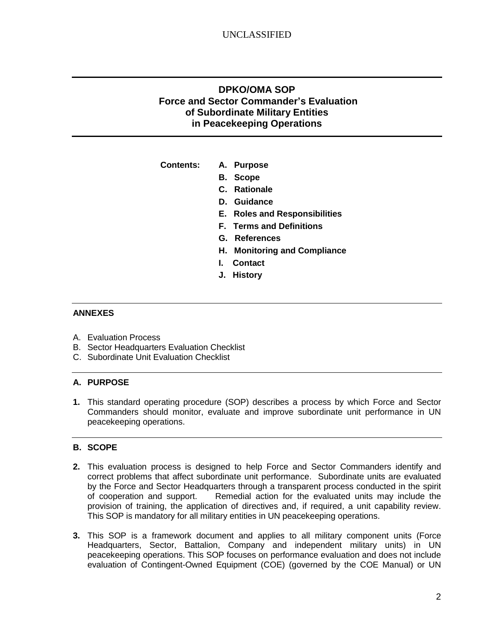## **DPKO/OMA SOP Force and Sector Commander's Evaluation of Subordinate Military Entities in Peacekeeping Operations**

**Contents: A. Purpose**

- **B. Scope**
- **C. Rationale**
- **D. Guidance**
- **E. Roles and Responsibilities**
- **F. Terms and Definitions**
- **G. References**
- **H. Monitoring and Compliance**
- **I. Contact**
- **J. History**

#### **ANNEXES**

- A. Evaluation Process
- B. Sector Headquarters Evaluation Checklist
- C. Subordinate Unit Evaluation Checklist

#### **A. PURPOSE**

**1.** This standard operating procedure (SOP) describes a process by which Force and Sector Commanders should monitor, evaluate and improve subordinate unit performance in UN peacekeeping operations.

#### **B. SCOPE**

- **2.** This evaluation process is designed to help Force and Sector Commanders identify and correct problems that affect subordinate unit performance. Subordinate units are evaluated by the Force and Sector Headquarters through a transparent process conducted in the spirit of cooperation and support. Remedial action for the evaluated units may include the provision of training, the application of directives and, if required, a unit capability review. This SOP is mandatory for all military entities in UN peacekeeping operations.
- **3.** This SOP is a framework document and applies to all military component units (Force Headquarters, Sector, Battalion, Company and independent military units) in UN peacekeeping operations. This SOP focuses on performance evaluation and does not include evaluation of Contingent-Owned Equipment (COE) (governed by the COE Manual) or UN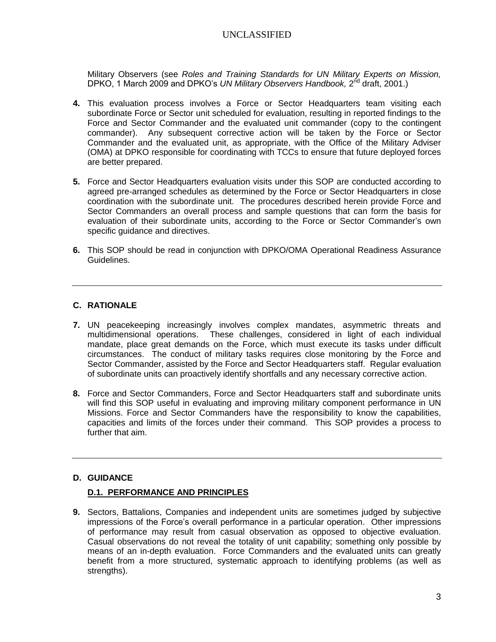Military Observers (see *Roles and Training Standards for UN Military Experts on Mission,* DPKO, 1 March 2009 and DPKO's UN Military Observers Handbook, 2<sup>nd</sup> draft, 2001.)

- **4.** This evaluation process involves a Force or Sector Headquarters team visiting each subordinate Force or Sector unit scheduled for evaluation, resulting in reported findings to the Force and Sector Commander and the evaluated unit commander (copy to the contingent commander). Any subsequent corrective action will be taken by the Force or Sector Commander and the evaluated unit, as appropriate, with the Office of the Military Adviser (OMA) at DPKO responsible for coordinating with TCCs to ensure that future deployed forces are better prepared.
- **5.** Force and Sector Headquarters evaluation visits under this SOP are conducted according to agreed pre-arranged schedules as determined by the Force or Sector Headquarters in close coordination with the subordinate unit. The procedures described herein provide Force and Sector Commanders an overall process and sample questions that can form the basis for evaluation of their subordinate units, according to the Force or Sector Commander's own specific guidance and directives.
- **6.** This SOP should be read in conjunction with DPKO/OMA Operational Readiness Assurance Guidelines.

#### **C. RATIONALE**

- **7.** UN peacekeeping increasingly involves complex mandates, asymmetric threats and multidimensional operations. These challenges, considered in light of each individual mandate, place great demands on the Force, which must execute its tasks under difficult circumstances. The conduct of military tasks requires close monitoring by the Force and Sector Commander, assisted by the Force and Sector Headquarters staff. Regular evaluation of subordinate units can proactively identify shortfalls and any necessary corrective action.
- **8.** Force and Sector Commanders, Force and Sector Headquarters staff and subordinate units will find this SOP useful in evaluating and improving military component performance in UN Missions. Force and Sector Commanders have the responsibility to know the capabilities, capacities and limits of the forces under their command. This SOP provides a process to further that aim.

#### **D. GUIDANCE**

#### **D.1. PERFORMANCE AND PRINCIPLES**

**9.** Sectors, Battalions, Companies and independent units are sometimes judged by subjective impressions of the Force's overall performance in a particular operation. Other impressions of performance may result from casual observation as opposed to objective evaluation. Casual observations do not reveal the totality of unit capability; something only possible by means of an in-depth evaluation. Force Commanders and the evaluated units can greatly benefit from a more structured, systematic approach to identifying problems (as well as strengths).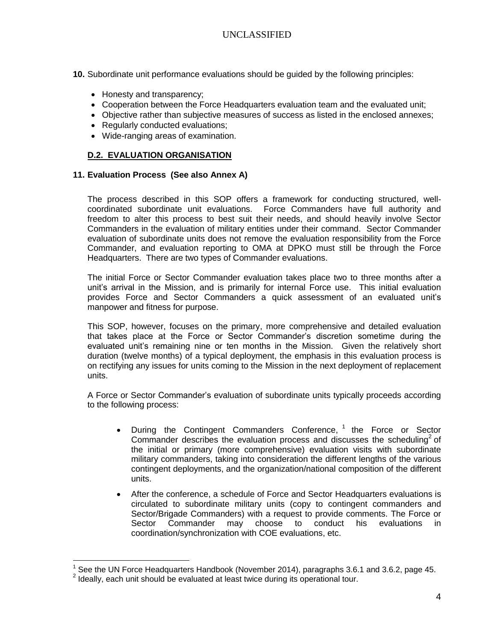- **10.** Subordinate unit performance evaluations should be guided by the following principles:
	- Honesty and transparency;
	- Cooperation between the Force Headquarters evaluation team and the evaluated unit;
	- Objective rather than subjective measures of success as listed in the enclosed annexes;
	- Regularly conducted evaluations;
	- Wide-ranging areas of examination.

### **D.2. EVALUATION ORGANISATION**

#### **11. Evaluation Process (See also Annex A)**

The process described in this SOP offers a framework for conducting structured, wellcoordinated subordinate unit evaluations. Force Commanders have full authority and freedom to alter this process to best suit their needs, and should heavily involve Sector Commanders in the evaluation of military entities under their command. Sector Commander evaluation of subordinate units does not remove the evaluation responsibility from the Force Commander, and evaluation reporting to OMA at DPKO must still be through the Force Headquarters. There are two types of Commander evaluations.

The initial Force or Sector Commander evaluation takes place two to three months after a unit's arrival in the Mission, and is primarily for internal Force use. This initial evaluation provides Force and Sector Commanders a quick assessment of an evaluated unit's manpower and fitness for purpose.

This SOP, however, focuses on the primary, more comprehensive and detailed evaluation that takes place at the Force or Sector Commander's discretion sometime during the evaluated unit's remaining nine or ten months in the Mission. Given the relatively short duration (twelve months) of a typical deployment, the emphasis in this evaluation process is on rectifying any issues for units coming to the Mission in the next deployment of replacement units.

A Force or Sector Commander's evaluation of subordinate units typically proceeds according to the following process:

- During the Contingent Commanders Conference, <sup>1</sup> the Force or Sector Commander describes the evaluation process and discusses the scheduling<sup>2</sup> of the initial or primary (more comprehensive) evaluation visits with subordinate military commanders, taking into consideration the different lengths of the various contingent deployments, and the organization/national composition of the different units.
- After the conference, a schedule of Force and Sector Headquarters evaluations is circulated to subordinate military units (copy to contingent commanders and Sector/Brigade Commanders) with a request to provide comments. The Force or Sector Commander may choose to conduct his evaluations in coordination/synchronization with COE evaluations, etc.

 $\overline{a}$ 

<sup>1</sup> See the UN Force Headquarters Handbook (November 2014), paragraphs 3.6.1 and 3.6.2, page 45.

<sup>2</sup> Ideally, each unit should be evaluated at least twice during its operational tour.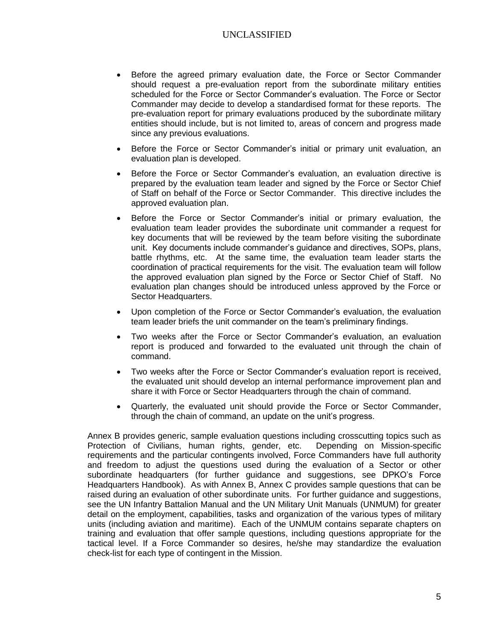- Before the agreed primary evaluation date, the Force or Sector Commander should request a pre-evaluation report from the subordinate military entities scheduled for the Force or Sector Commander's evaluation. The Force or Sector Commander may decide to develop a standardised format for these reports. The pre-evaluation report for primary evaluations produced by the subordinate military entities should include, but is not limited to, areas of concern and progress made since any previous evaluations.
- Before the Force or Sector Commander's initial or primary unit evaluation, an evaluation plan is developed.
- Before the Force or Sector Commander's evaluation, an evaluation directive is prepared by the evaluation team leader and signed by the Force or Sector Chief of Staff on behalf of the Force or Sector Commander. This directive includes the approved evaluation plan.
- Before the Force or Sector Commander's initial or primary evaluation, the evaluation team leader provides the subordinate unit commander a request for key documents that will be reviewed by the team before visiting the subordinate unit. Key documents include commander's guidance and directives, SOPs, plans, battle rhythms, etc. At the same time, the evaluation team leader starts the coordination of practical requirements for the visit. The evaluation team will follow the approved evaluation plan signed by the Force or Sector Chief of Staff. No evaluation plan changes should be introduced unless approved by the Force or Sector Headquarters.
- Upon completion of the Force or Sector Commander's evaluation, the evaluation team leader briefs the unit commander on the team's preliminary findings.
- Two weeks after the Force or Sector Commander's evaluation, an evaluation report is produced and forwarded to the evaluated unit through the chain of command.
- Two weeks after the Force or Sector Commander's evaluation report is received, the evaluated unit should develop an internal performance improvement plan and share it with Force or Sector Headquarters through the chain of command.
- Quarterly, the evaluated unit should provide the Force or Sector Commander, through the chain of command, an update on the unit's progress.

Annex B provides generic, sample evaluation questions including crosscutting topics such as Protection of Civilians, human rights, gender, etc. Depending on Mission-specific requirements and the particular contingents involved, Force Commanders have full authority and freedom to adjust the questions used during the evaluation of a Sector or other subordinate headquarters (for further guidance and suggestions, see DPKO's Force Headquarters Handbook). As with Annex B, Annex C provides sample questions that can be raised during an evaluation of other subordinate units. For further guidance and suggestions, see the UN Infantry Battalion Manual and the UN Military Unit Manuals (UNMUM) for greater detail on the employment, capabilities, tasks and organization of the various types of military units (including aviation and maritime). Each of the UNMUM contains separate chapters on training and evaluation that offer sample questions, including questions appropriate for the tactical level. If a Force Commander so desires, he/she may standardize the evaluation check-list for each type of contingent in the Mission.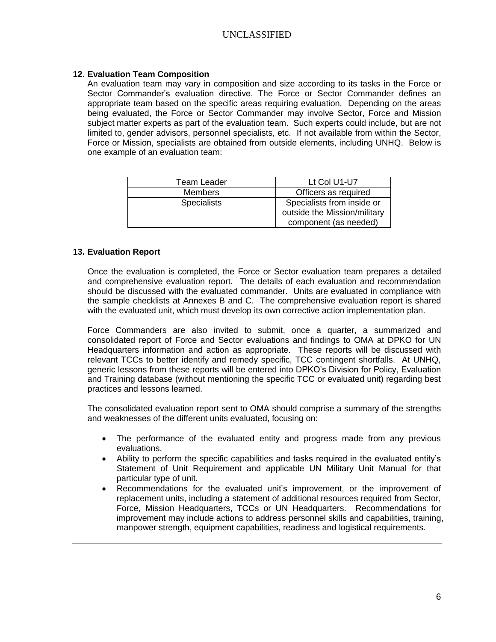#### **12. Evaluation Team Composition**

An evaluation team may vary in composition and size according to its tasks in the Force or Sector Commander's evaluation directive. The Force or Sector Commander defines an appropriate team based on the specific areas requiring evaluation. Depending on the areas being evaluated, the Force or Sector Commander may involve Sector, Force and Mission subject matter experts as part of the evaluation team. Such experts could include, but are not limited to, gender advisors, personnel specialists, etc. If not available from within the Sector, Force or Mission, specialists are obtained from outside elements, including UNHQ. Below is one example of an evaluation team:

| Team Leader        | Lt Col U1-U7                 |  |
|--------------------|------------------------------|--|
| <b>Members</b>     | Officers as required         |  |
| <b>Specialists</b> | Specialists from inside or   |  |
|                    | outside the Mission/military |  |
|                    | component (as needed)        |  |

#### **13. Evaluation Report**

Once the evaluation is completed, the Force or Sector evaluation team prepares a detailed and comprehensive evaluation report. The details of each evaluation and recommendation should be discussed with the evaluated commander. Units are evaluated in compliance with the sample checklists at Annexes B and C. The comprehensive evaluation report is shared with the evaluated unit, which must develop its own corrective action implementation plan.

Force Commanders are also invited to submit, once a quarter, a summarized and consolidated report of Force and Sector evaluations and findings to OMA at DPKO for UN Headquarters information and action as appropriate. These reports will be discussed with relevant TCCs to better identify and remedy specific, TCC contingent shortfalls. At UNHQ, generic lessons from these reports will be entered into DPKO's Division for Policy, Evaluation and Training database (without mentioning the specific TCC or evaluated unit) regarding best practices and lessons learned.

The consolidated evaluation report sent to OMA should comprise a summary of the strengths and weaknesses of the different units evaluated, focusing on:

- The performance of the evaluated entity and progress made from any previous evaluations.
- Ability to perform the specific capabilities and tasks required in the evaluated entity's Statement of Unit Requirement and applicable UN Military Unit Manual for that particular type of unit.
- Recommendations for the evaluated unit's improvement, or the improvement of replacement units, including a statement of additional resources required from Sector, Force, Mission Headquarters, TCCs or UN Headquarters. Recommendations for improvement may include actions to address personnel skills and capabilities, training, manpower strength, equipment capabilities, readiness and logistical requirements.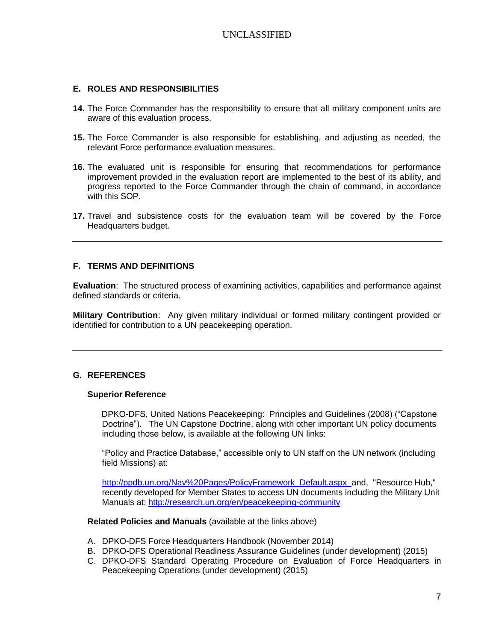#### **E. ROLES AND RESPONSIBILITIES**

- **14.** The Force Commander has the responsibility to ensure that all military component units are aware of this evaluation process.
- **15.** The Force Commander is also responsible for establishing, and adjusting as needed, the relevant Force performance evaluation measures.
- **16.** The evaluated unit is responsible for ensuring that recommendations for performance improvement provided in the evaluation report are implemented to the best of its ability, and progress reported to the Force Commander through the chain of command, in accordance with this SOP.
- **17.** Travel and subsistence costs for the evaluation team will be covered by the Force Headquarters budget.

#### **F. TERMS AND DEFINITIONS**

**Evaluation**: The structured process of examining activities, capabilities and performance against defined standards or criteria.

**Military Contribution**: Any given military individual or formed military contingent provided or identified for contribution to a UN peacekeeping operation.

#### **G. REFERENCES**

#### **Superior Reference**

DPKO-DFS, United Nations Peacekeeping: Principles and Guidelines (2008) ("Capstone Doctrine"). The UN Capstone Doctrine, along with other important UN policy documents including those below, is available at the following UN links:

"Policy and Practice Database," accessible only to UN staff on the UN network (including field Missions) at:

[http://ppdb.un.org/Nav%20Pages/PolicyFramework\\_Default.aspx](http://ppdb.un.org/Nav%20Pages/PolicyFramework_Default.aspx) and, "Resource Hub," recently developed for Member States to access UN documents including the Military Unit Manuals at: <http://research.un.org/en/peacekeeping-community>

**Related Policies and Manuals** (available at the links above)

- A. DPKO-DFS Force Headquarters Handbook (November 2014)
- B. DPKO-DFS Operational Readiness Assurance Guidelines (under development) (2015)
- C. DPKO-DFS Standard Operating Procedure on Evaluation of Force Headquarters in Peacekeeping Operations (under development) (2015)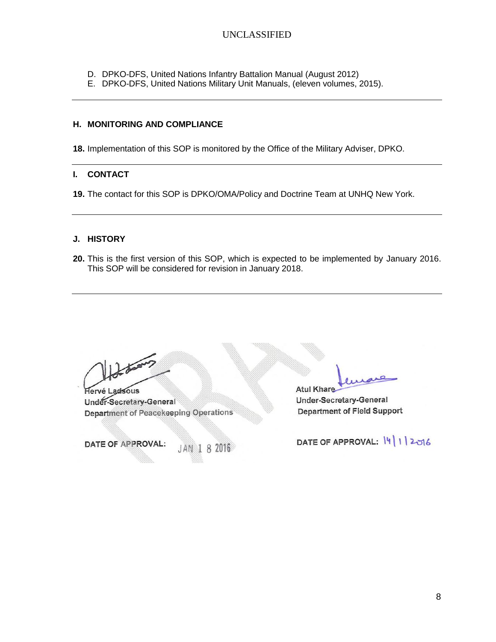- D. DPKO-DFS, United Nations Infantry Battalion Manual (August 2012)
- E. DPKO-DFS, United Nations Military Unit Manuals, (eleven volumes, 2015).

#### **H. MONITORING AND COMPLIANCE**

**18.** Implementation of this SOP is monitored by the Office of the Military Adviser, DPKO.

#### **I. CONTACT**

**19.** The contact for this SOP is DPKO/OMA/Policy and Doctrine Team at UNHQ New York.

#### **J. HISTORY**

**20.** This is the first version of this SOP, which is expected to be implemented by January 2016. This SOP will be considered for revision in January 2018.

Johns

Hervé Ladsous Under-Secretary-General **Department of Peacekeeping Operations** 

DATE OF APPROVAL:

8 2016

**Atul Khare** 

**Under-Secretary-General Department of Field Support** 

DATE OF APPROVAL: 14 | 1 | 2016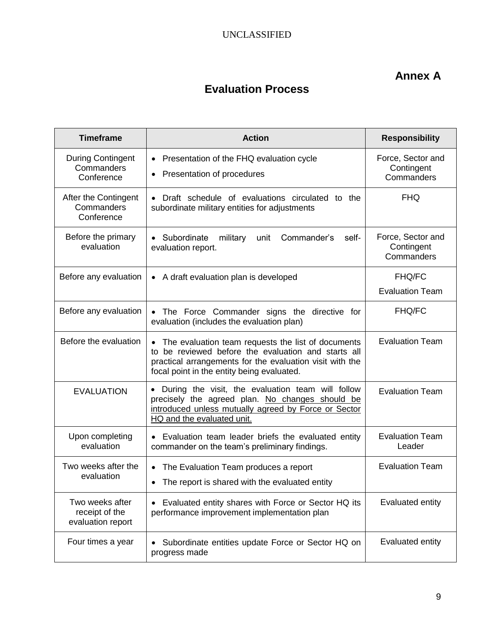# **Annex A**

# **Evaluation Process**

| <b>Timeframe</b>                                       | <b>Action</b>                                                                                                                                                                                                       | <b>Responsibility</b>                         |
|--------------------------------------------------------|---------------------------------------------------------------------------------------------------------------------------------------------------------------------------------------------------------------------|-----------------------------------------------|
| <b>During Contingent</b><br>Commanders<br>Conference   | Presentation of the FHQ evaluation cycle<br>$\bullet$<br>Presentation of procedures<br>$\bullet$                                                                                                                    | Force, Sector and<br>Contingent<br>Commanders |
| After the Contingent<br>Commanders<br>Conference       | • Draft schedule of evaluations circulated to the<br>subordinate military entities for adjustments                                                                                                                  | <b>FHQ</b>                                    |
| Before the primary<br>evaluation                       | • Subordinate<br>Commander's<br>military<br>unit<br>self-<br>evaluation report.                                                                                                                                     | Force, Sector and<br>Contingent<br>Commanders |
| Before any evaluation                                  | • A draft evaluation plan is developed                                                                                                                                                                              | <b>FHQ/FC</b><br><b>Evaluation Team</b>       |
| Before any evaluation                                  | The Force Commander signs the directive for<br>evaluation (includes the evaluation plan)                                                                                                                            | <b>FHQ/FC</b>                                 |
| Before the evaluation                                  | The evaluation team requests the list of documents<br>to be reviewed before the evaluation and starts all<br>practical arrangements for the evaluation visit with the<br>focal point in the entity being evaluated. | <b>Evaluation Team</b>                        |
| <b>EVALUATION</b>                                      | • During the visit, the evaluation team will follow<br>precisely the agreed plan. No changes should be<br>introduced unless mutually agreed by Force or Sector<br>HQ and the evaluated unit.                        | <b>Evaluation Team</b>                        |
| Upon completing<br>evaluation                          | Evaluation team leader briefs the evaluated entity<br>commander on the team's preliminary findings.                                                                                                                 | <b>Evaluation Team</b><br>Leader              |
| Two weeks after the<br>evaluation                      | The Evaluation Team produces a report<br>The report is shared with the evaluated entity<br>$\bullet$                                                                                                                | <b>Evaluation Team</b>                        |
| Two weeks after<br>receipt of the<br>evaluation report | Evaluated entity shares with Force or Sector HQ its<br>performance improvement implementation plan                                                                                                                  | Evaluated entity                              |
| Four times a year                                      | Subordinate entities update Force or Sector HQ on<br>progress made                                                                                                                                                  | Evaluated entity                              |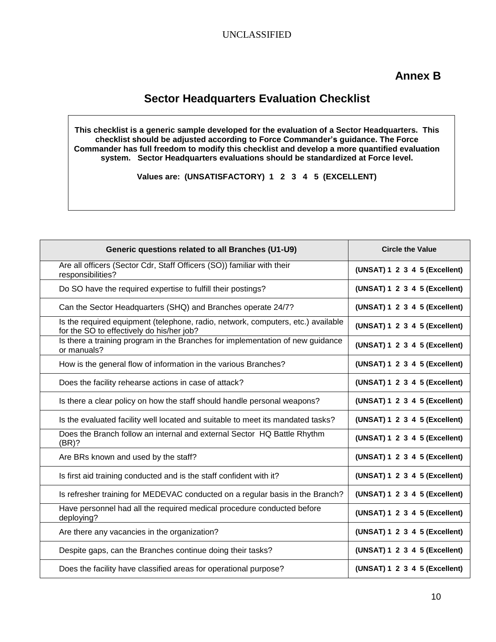# **Sector Headquarters Evaluation Checklist**

**This checklist is a generic sample developed for the evaluation of a Sector Headquarters. This checklist should be adjusted according to Force Commander's guidance. The Force Commander has full freedom to modify this checklist and develop a more quantified evaluation system. Sector Headquarters evaluations should be standardized at Force level.** 

**Values are: (UNSATISFACTORY) 1 2 3 4 5 (EXCELLENT)**

| Generic questions related to all Branches (U1-U9)                                                                             | <b>Circle the Value</b>       |
|-------------------------------------------------------------------------------------------------------------------------------|-------------------------------|
| Are all officers (Sector Cdr, Staff Officers (SO)) familiar with their<br>responsibilities?                                   | (UNSAT) 1 2 3 4 5 (Excellent) |
| Do SO have the required expertise to fulfill their postings?                                                                  | (UNSAT) 1 2 3 4 5 (Excellent) |
| Can the Sector Headquarters (SHQ) and Branches operate 24/7?                                                                  | (UNSAT) 1 2 3 4 5 (Excellent) |
| Is the required equipment (telephone, radio, network, computers, etc.) available<br>for the SO to effectively do his/her job? | (UNSAT) 1 2 3 4 5 (Excellent) |
| Is there a training program in the Branches for implementation of new guidance<br>or manuals?                                 | (UNSAT) 1 2 3 4 5 (Excellent) |
| How is the general flow of information in the various Branches?                                                               | (UNSAT) 1 2 3 4 5 (Excellent) |
| Does the facility rehearse actions in case of attack?                                                                         | (UNSAT) 1 2 3 4 5 (Excellent) |
| Is there a clear policy on how the staff should handle personal weapons?                                                      | (UNSAT) 1 2 3 4 5 (Excellent) |
| Is the evaluated facility well located and suitable to meet its mandated tasks?                                               | (UNSAT) 1 2 3 4 5 (Excellent) |
| Does the Branch follow an internal and external Sector HQ Battle Rhythm<br>(BR)?                                              | (UNSAT) 1 2 3 4 5 (Excellent) |
| Are BRs known and used by the staff?                                                                                          | (UNSAT) 1 2 3 4 5 (Excellent) |
| Is first aid training conducted and is the staff confident with it?                                                           | (UNSAT) 1 2 3 4 5 (Excellent) |
| Is refresher training for MEDEVAC conducted on a regular basis in the Branch?                                                 | (UNSAT) 1 2 3 4 5 (Excellent) |
| Have personnel had all the required medical procedure conducted before<br>deploying?                                          | (UNSAT) 1 2 3 4 5 (Excellent) |
| Are there any vacancies in the organization?                                                                                  | (UNSAT) 1 2 3 4 5 (Excellent) |
| Despite gaps, can the Branches continue doing their tasks?                                                                    | (UNSAT) 1 2 3 4 5 (Excellent) |
| Does the facility have classified areas for operational purpose?                                                              | (UNSAT) 1 2 3 4 5 (Excellent) |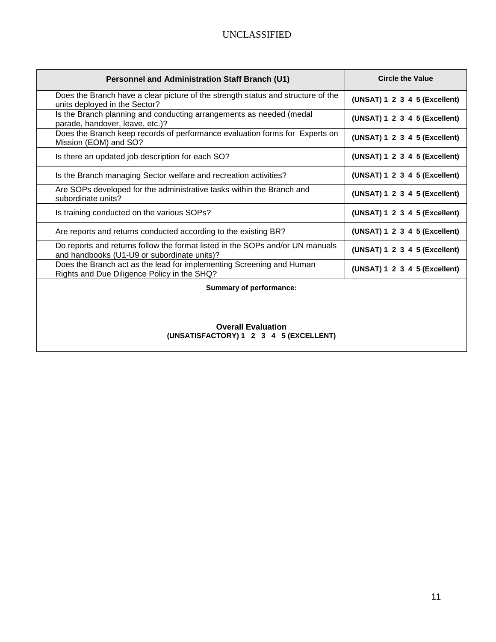| Personnel and Administration Staff Branch (U1)                                                                               | <b>Circle the Value</b>       |
|------------------------------------------------------------------------------------------------------------------------------|-------------------------------|
| Does the Branch have a clear picture of the strength status and structure of the<br>units deployed in the Sector?            | (UNSAT) 1 2 3 4 5 (Excellent) |
| Is the Branch planning and conducting arrangements as needed (medal<br>parade, handover, leave, etc.)?                       | (UNSAT) 1 2 3 4 5 (Excellent) |
| Does the Branch keep records of performance evaluation forms for Experts on<br>Mission (EOM) and SO?                         | (UNSAT) 1 2 3 4 5 (Excellent) |
| Is there an updated job description for each SO?                                                                             | (UNSAT) 1 2 3 4 5 (Excellent) |
| Is the Branch managing Sector welfare and recreation activities?                                                             | (UNSAT) 1 2 3 4 5 (Excellent) |
| Are SOPs developed for the administrative tasks within the Branch and<br>subordinate units?                                  | (UNSAT) 1 2 3 4 5 (Excellent) |
| Is training conducted on the various SOPs?                                                                                   | (UNSAT) 1 2 3 4 5 (Excellent) |
| Are reports and returns conducted according to the existing BR?                                                              | (UNSAT) 1 2 3 4 5 (Excellent) |
| Do reports and returns follow the format listed in the SOPs and/or UN manuals<br>and handbooks (U1-U9 or subordinate units)? | (UNSAT) 1 2 3 4 5 (Excellent) |
| Does the Branch act as the lead for implementing Screening and Human<br>Rights and Due Diligence Policy in the SHQ?          | (UNSAT) 1 2 3 4 5 (Excellent) |
| Summary of performance:                                                                                                      |                               |
|                                                                                                                              |                               |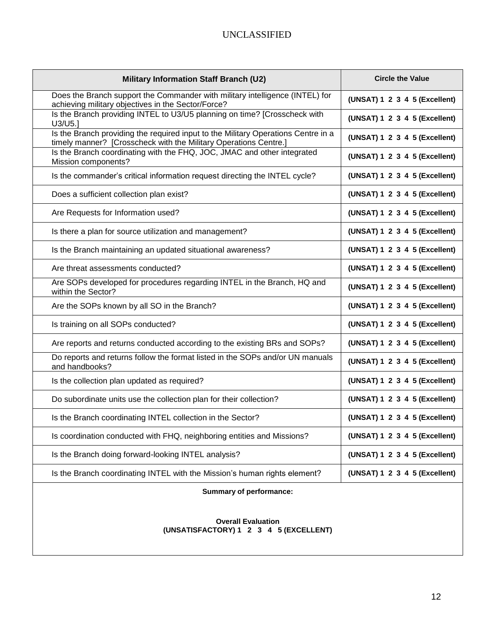| <b>Military Information Staff Branch (U2)</b>                                                                                                         | <b>Circle the Value</b>       |
|-------------------------------------------------------------------------------------------------------------------------------------------------------|-------------------------------|
| Does the Branch support the Commander with military intelligence (INTEL) for<br>achieving military objectives in the Sector/Force?                    | (UNSAT) 1 2 3 4 5 (Excellent) |
| Is the Branch providing INTEL to U3/U5 planning on time? [Crosscheck with<br>U3/U5.]                                                                  | (UNSAT) 1 2 3 4 5 (Excellent) |
| Is the Branch providing the required input to the Military Operations Centre in a<br>timely manner? [Crosscheck with the Military Operations Centre.] | (UNSAT) 1 2 3 4 5 (Excellent) |
| Is the Branch coordinating with the FHQ, JOC, JMAC and other integrated<br>Mission components?                                                        | (UNSAT) 1 2 3 4 5 (Excellent) |
| Is the commander's critical information request directing the INTEL cycle?                                                                            | (UNSAT) 1 2 3 4 5 (Excellent) |
| Does a sufficient collection plan exist?                                                                                                              | (UNSAT) 1 2 3 4 5 (Excellent) |
| Are Requests for Information used?                                                                                                                    | (UNSAT) 1 2 3 4 5 (Excellent) |
| Is there a plan for source utilization and management?                                                                                                | (UNSAT) 1 2 3 4 5 (Excellent) |
| Is the Branch maintaining an updated situational awareness?                                                                                           | (UNSAT) 1 2 3 4 5 (Excellent) |
| Are threat assessments conducted?                                                                                                                     | (UNSAT) 1 2 3 4 5 (Excellent) |
| Are SOPs developed for procedures regarding INTEL in the Branch, HQ and<br>within the Sector?                                                         | (UNSAT) 1 2 3 4 5 (Excellent) |
| Are the SOPs known by all SO in the Branch?                                                                                                           | (UNSAT) 1 2 3 4 5 (Excellent) |
| Is training on all SOPs conducted?                                                                                                                    | (UNSAT) 1 2 3 4 5 (Excellent) |
| Are reports and returns conducted according to the existing BRs and SOPs?                                                                             | (UNSAT) 1 2 3 4 5 (Excellent) |
| Do reports and returns follow the format listed in the SOPs and/or UN manuals<br>and handbooks?                                                       | (UNSAT) 1 2 3 4 5 (Excellent) |
| Is the collection plan updated as required?                                                                                                           | (UNSAT) 1 2 3 4 5 (Excellent) |
| Do subordinate units use the collection plan for their collection?                                                                                    | (UNSAT) 1 2 3 4 5 (Excellent) |
| Is the Branch coordinating INTEL collection in the Sector?                                                                                            | (UNSAT) 1 2 3 4 5 (Excellent) |
| Is coordination conducted with FHQ, neighboring entities and Missions?                                                                                | (UNSAT) 1 2 3 4 5 (Excellent) |
| Is the Branch doing forward-looking INTEL analysis?                                                                                                   | (UNSAT) 1 2 3 4 5 (Excellent) |
| Is the Branch coordinating INTEL with the Mission's human rights element?                                                                             | (UNSAT) 1 2 3 4 5 (Excellent) |
| <b>Summary of performance:</b>                                                                                                                        |                               |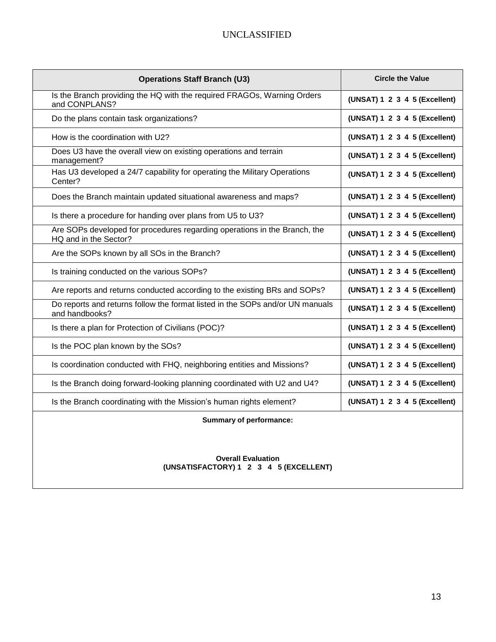| <b>Operations Staff Branch (U3)</b>                                                                | <b>Circle the Value</b>       |
|----------------------------------------------------------------------------------------------------|-------------------------------|
| Is the Branch providing the HQ with the required FRAGOs, Warning Orders<br>and CONPLANS?           | (UNSAT) 1 2 3 4 5 (Excellent) |
| Do the plans contain task organizations?                                                           | (UNSAT) 1 2 3 4 5 (Excellent) |
| How is the coordination with U2?                                                                   | (UNSAT) 1 2 3 4 5 (Excellent) |
| Does U3 have the overall view on existing operations and terrain<br>management?                    | (UNSAT) 1 2 3 4 5 (Excellent) |
| Has U3 developed a 24/7 capability for operating the Military Operations<br>Center?                | (UNSAT) 1 2 3 4 5 (Excellent) |
| Does the Branch maintain updated situational awareness and maps?                                   | (UNSAT) 1 2 3 4 5 (Excellent) |
| Is there a procedure for handing over plans from U5 to U3?                                         | (UNSAT) 1 2 3 4 5 (Excellent) |
| Are SOPs developed for procedures regarding operations in the Branch, the<br>HQ and in the Sector? | (UNSAT) 1 2 3 4 5 (Excellent) |
| Are the SOPs known by all SOs in the Branch?                                                       | (UNSAT) 1 2 3 4 5 (Excellent) |
| Is training conducted on the various SOPs?                                                         | (UNSAT) 1 2 3 4 5 (Excellent) |
| Are reports and returns conducted according to the existing BRs and SOPs?                          | (UNSAT) 1 2 3 4 5 (Excellent) |
| Do reports and returns follow the format listed in the SOPs and/or UN manuals<br>and handbooks?    | (UNSAT) 1 2 3 4 5 (Excellent) |
| Is there a plan for Protection of Civilians (POC)?                                                 | (UNSAT) 1 2 3 4 5 (Excellent) |
| Is the POC plan known by the SOs?                                                                  | (UNSAT) 1 2 3 4 5 (Excellent) |
| Is coordination conducted with FHQ, neighboring entities and Missions?                             | (UNSAT) 1 2 3 4 5 (Excellent) |
| Is the Branch doing forward-looking planning coordinated with U2 and U4?                           | (UNSAT) 1 2 3 4 5 (Excellent) |
| Is the Branch coordinating with the Mission's human rights element?                                | (UNSAT) 1 2 3 4 5 (Excellent) |
| <b>Summary of performance:</b>                                                                     |                               |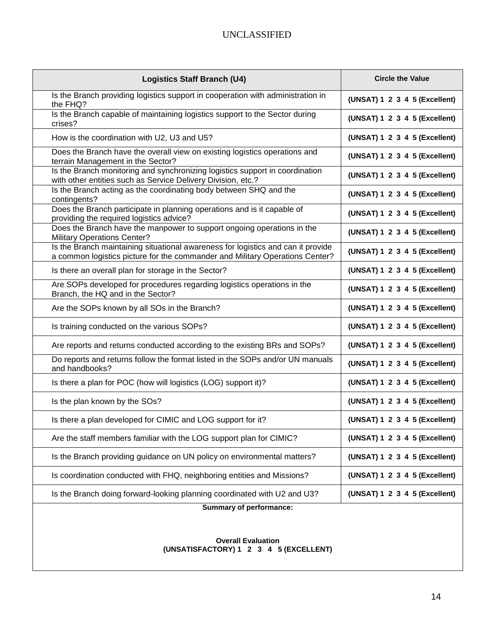| <b>Logistics Staff Branch (U4)</b>                                                                                                                               | <b>Circle the Value</b>       |
|------------------------------------------------------------------------------------------------------------------------------------------------------------------|-------------------------------|
| Is the Branch providing logistics support in cooperation with administration in<br>the FHQ?                                                                      | (UNSAT) 1 2 3 4 5 (Excellent) |
| Is the Branch capable of maintaining logistics support to the Sector during<br>crises?                                                                           | (UNSAT) 1 2 3 4 5 (Excellent) |
| How is the coordination with U2, U3 and U5?                                                                                                                      | (UNSAT) 1 2 3 4 5 (Excellent) |
| Does the Branch have the overall view on existing logistics operations and<br>terrain Management in the Sector?                                                  | (UNSAT) 1 2 3 4 5 (Excellent) |
| Is the Branch monitoring and synchronizing logistics support in coordination<br>with other entities such as Service Delivery Division, etc.?                     | (UNSAT) 1 2 3 4 5 (Excellent) |
| Is the Branch acting as the coordinating body between SHQ and the<br>contingents?                                                                                | (UNSAT) 1 2 3 4 5 (Excellent) |
| Does the Branch participate in planning operations and is it capable of<br>providing the required logistics advice?                                              | (UNSAT) 1 2 3 4 5 (Excellent) |
| Does the Branch have the manpower to support ongoing operations in the<br><b>Military Operations Center?</b>                                                     | (UNSAT) 1 2 3 4 5 (Excellent) |
| Is the Branch maintaining situational awareness for logistics and can it provide<br>a common logistics picture for the commander and Military Operations Center? | (UNSAT) 1 2 3 4 5 (Excellent) |
| Is there an overall plan for storage in the Sector?                                                                                                              | (UNSAT) 1 2 3 4 5 (Excellent) |
| Are SOPs developed for procedures regarding logistics operations in the<br>Branch, the HQ and in the Sector?                                                     | (UNSAT) 1 2 3 4 5 (Excellent) |
| Are the SOPs known by all SOs in the Branch?                                                                                                                     | (UNSAT) 1 2 3 4 5 (Excellent) |
| Is training conducted on the various SOPs?                                                                                                                       | (UNSAT) 1 2 3 4 5 (Excellent) |
| Are reports and returns conducted according to the existing BRs and SOPs?                                                                                        | (UNSAT) 1 2 3 4 5 (Excellent) |
| Do reports and returns follow the format listed in the SOPs and/or UN manuals<br>and handbooks?                                                                  | (UNSAT) 1 2 3 4 5 (Excellent) |
| Is there a plan for POC (how will logistics (LOG) support it)?                                                                                                   | (UNSAT) 1 2 3 4 5 (Excellent) |
| Is the plan known by the SOs?                                                                                                                                    | (UNSAT) 1 2 3 4 5 (Excellent) |
| Is there a plan developed for CIMIC and LOG support for it?                                                                                                      | (UNSAT) 1 2 3 4 5 (Excellent) |
| Are the staff members familiar with the LOG support plan for CIMIC?                                                                                              | (UNSAT) 1 2 3 4 5 (Excellent) |
| Is the Branch providing guidance on UN policy on environmental matters?                                                                                          | (UNSAT) 1 2 3 4 5 (Excellent) |
| Is coordination conducted with FHQ, neighboring entities and Missions?                                                                                           | (UNSAT) 1 2 3 4 5 (Excellent) |
| Is the Branch doing forward-looking planning coordinated with U2 and U3?                                                                                         | (UNSAT) 1 2 3 4 5 (Excellent) |
| <b>Summary of performance:</b>                                                                                                                                   |                               |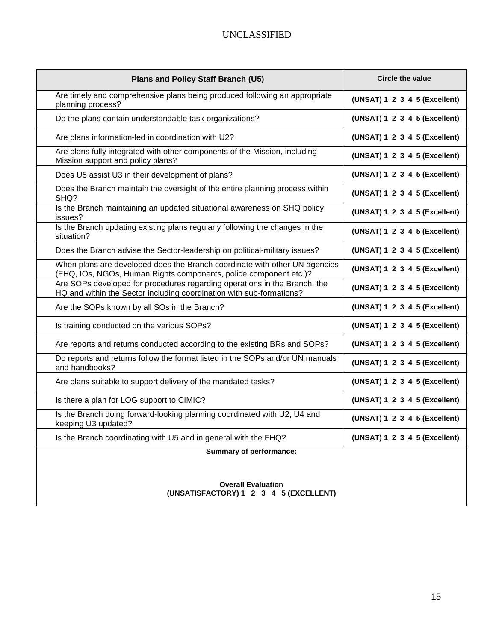| Plans and Policy Staff Branch (U5)                                                                                                                | <b>Circle the value</b>       |
|---------------------------------------------------------------------------------------------------------------------------------------------------|-------------------------------|
| Are timely and comprehensive plans being produced following an appropriate<br>planning process?                                                   | (UNSAT) 1 2 3 4 5 (Excellent) |
| Do the plans contain understandable task organizations?                                                                                           | (UNSAT) 1 2 3 4 5 (Excellent) |
| Are plans information-led in coordination with U2?                                                                                                | (UNSAT) 1 2 3 4 5 (Excellent) |
| Are plans fully integrated with other components of the Mission, including<br>Mission support and policy plans?                                   | (UNSAT) 1 2 3 4 5 (Excellent) |
| Does U5 assist U3 in their development of plans?                                                                                                  | (UNSAT) 1 2 3 4 5 (Excellent) |
| Does the Branch maintain the oversight of the entire planning process within<br>SHQ?                                                              | (UNSAT) 1 2 3 4 5 (Excellent) |
| Is the Branch maintaining an updated situational awareness on SHQ policy<br>issues?                                                               | (UNSAT) 1 2 3 4 5 (Excellent) |
| Is the Branch updating existing plans regularly following the changes in the<br>situation?                                                        | (UNSAT) 1 2 3 4 5 (Excellent) |
| Does the Branch advise the Sector-leadership on political-military issues?                                                                        | (UNSAT) 1 2 3 4 5 (Excellent) |
| When plans are developed does the Branch coordinate with other UN agencies<br>(FHQ, IOs, NGOs, Human Rights components, police component etc.)?   | (UNSAT) 1 2 3 4 5 (Excellent) |
| Are SOPs developed for procedures regarding operations in the Branch, the<br>HQ and within the Sector including coordination with sub-formations? | (UNSAT) 1 2 3 4 5 (Excellent) |
| Are the SOPs known by all SOs in the Branch?                                                                                                      | (UNSAT) 1 2 3 4 5 (Excellent) |
| Is training conducted on the various SOPs?                                                                                                        | (UNSAT) 1 2 3 4 5 (Excellent) |
| Are reports and returns conducted according to the existing BRs and SOPs?                                                                         | (UNSAT) 1 2 3 4 5 (Excellent) |
| Do reports and returns follow the format listed in the SOPs and/or UN manuals<br>and handbooks?                                                   | (UNSAT) 1 2 3 4 5 (Excellent) |
| Are plans suitable to support delivery of the mandated tasks?                                                                                     | (UNSAT) 1 2 3 4 5 (Excellent) |
| Is there a plan for LOG support to CIMIC?                                                                                                         | (UNSAT) 1 2 3 4 5 (Excellent) |
| Is the Branch doing forward-looking planning coordinated with U2, U4 and<br>keeping U3 updated?                                                   | (UNSAT) 1 2 3 4 5 (Excellent) |
| Is the Branch coordinating with U5 and in general with the FHQ?                                                                                   | (UNSAT) 1 2 3 4 5 (Excellent) |
| Summary of performance:                                                                                                                           |                               |
|                                                                                                                                                   |                               |
| <b>Overall Evaluation</b><br>(UNSATISFACTORY) 1 2 3 4 5 (EXCELLENT)                                                                               |                               |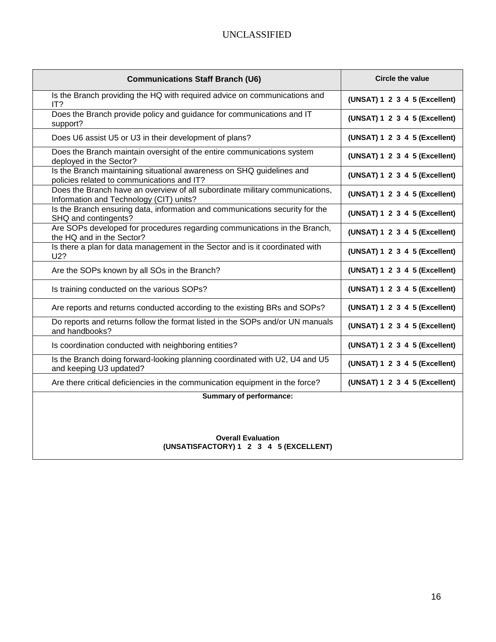| <b>Communications Staff Branch (U6)</b>                                                                                 | <b>Circle the value</b>       |
|-------------------------------------------------------------------------------------------------------------------------|-------------------------------|
| Is the Branch providing the HQ with required advice on communications and<br>IT?                                        | (UNSAT) 1 2 3 4 5 (Excellent) |
| Does the Branch provide policy and guidance for communications and IT<br>support?                                       | (UNSAT) 1 2 3 4 5 (Excellent) |
| Does U6 assist U5 or U3 in their development of plans?                                                                  | (UNSAT) 1 2 3 4 5 (Excellent) |
| Does the Branch maintain oversight of the entire communications system<br>deployed in the Sector?                       | (UNSAT) 1 2 3 4 5 (Excellent) |
| Is the Branch maintaining situational awareness on SHQ guidelines and<br>policies related to communications and IT?     | (UNSAT) 1 2 3 4 5 (Excellent) |
| Does the Branch have an overview of all subordinate military communications,<br>Information and Technology (CIT) units? | (UNSAT) 1 2 3 4 5 (Excellent) |
| Is the Branch ensuring data, information and communications security for the<br>SHQ and contingents?                    | (UNSAT) 1 2 3 4 5 (Excellent) |
| Are SOPs developed for procedures regarding communications in the Branch,<br>the HQ and in the Sector?                  | (UNSAT) 1 2 3 4 5 (Excellent) |
| Is there a plan for data management in the Sector and is it coordinated with<br>U2?                                     | (UNSAT) 1 2 3 4 5 (Excellent) |
| Are the SOPs known by all SOs in the Branch?                                                                            | (UNSAT) 1 2 3 4 5 (Excellent) |
| Is training conducted on the various SOPs?                                                                              | (UNSAT) 1 2 3 4 5 (Excellent) |
| Are reports and returns conducted according to the existing BRs and SOPs?                                               | (UNSAT) 1 2 3 4 5 (Excellent) |
| Do reports and returns follow the format listed in the SOPs and/or UN manuals<br>and handbooks?                         | (UNSAT) 1 2 3 4 5 (Excellent) |
| Is coordination conducted with neighboring entities?                                                                    | (UNSAT) 1 2 3 4 5 (Excellent) |
| Is the Branch doing forward-looking planning coordinated with U2, U4 and U5<br>and keeping U3 updated?                  | (UNSAT) 1 2 3 4 5 (Excellent) |
| Are there critical deficiencies in the communication equipment in the force?                                            | (UNSAT) 1 2 3 4 5 (Excellent) |
| <b>Summary of performance:</b>                                                                                          |                               |
|                                                                                                                         |                               |
|                                                                                                                         |                               |
| <b>Overall Evaluation</b>                                                                                               |                               |

**(UNSATISFACTORY) 1 2 3 4 5 (EXCELLENT)**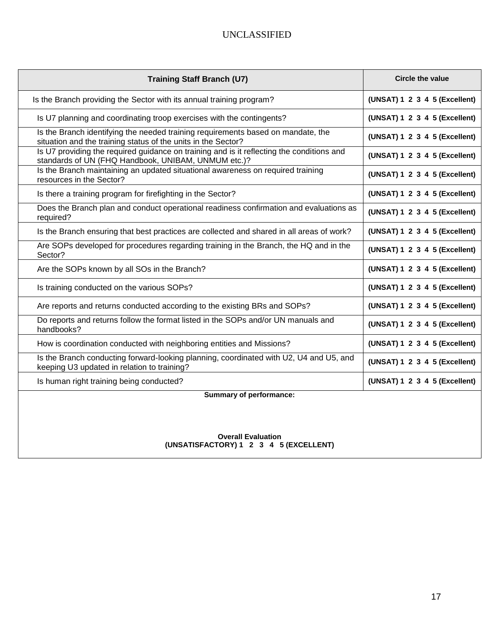| <b>Training Staff Branch (U7)</b>                                                                                                                 | <b>Circle the value</b>       |
|---------------------------------------------------------------------------------------------------------------------------------------------------|-------------------------------|
| Is the Branch providing the Sector with its annual training program?                                                                              | (UNSAT) 1 2 3 4 5 (Excellent) |
| Is U7 planning and coordinating troop exercises with the contingents?                                                                             | (UNSAT) 1 2 3 4 5 (Excellent) |
| Is the Branch identifying the needed training requirements based on mandate, the<br>situation and the training status of the units in the Sector? | (UNSAT) 1 2 3 4 5 (Excellent) |
| Is U7 providing the required guidance on training and is it reflecting the conditions and<br>standards of UN (FHQ Handbook, UNIBAM, UNMUM etc.)?  | (UNSAT) 1 2 3 4 5 (Excellent) |
| Is the Branch maintaining an updated situational awareness on required training<br>resources in the Sector?                                       | (UNSAT) 1 2 3 4 5 (Excellent) |
| Is there a training program for firefighting in the Sector?                                                                                       | (UNSAT) 1 2 3 4 5 (Excellent) |
| Does the Branch plan and conduct operational readiness confirmation and evaluations as<br>required?                                               | (UNSAT) 1 2 3 4 5 (Excellent) |
| Is the Branch ensuring that best practices are collected and shared in all areas of work?                                                         | (UNSAT) 1 2 3 4 5 (Excellent) |
| Are SOPs developed for procedures regarding training in the Branch, the HQ and in the<br>Sector?                                                  | (UNSAT) 1 2 3 4 5 (Excellent) |
| Are the SOPs known by all SOs in the Branch?                                                                                                      | (UNSAT) 1 2 3 4 5 (Excellent) |
| Is training conducted on the various SOPs?                                                                                                        | (UNSAT) 1 2 3 4 5 (Excellent) |
| Are reports and returns conducted according to the existing BRs and SOPs?                                                                         | (UNSAT) 1 2 3 4 5 (Excellent) |
| Do reports and returns follow the format listed in the SOPs and/or UN manuals and<br>handbooks?                                                   | (UNSAT) 1 2 3 4 5 (Excellent) |
| How is coordination conducted with neighboring entities and Missions?                                                                             | (UNSAT) 1 2 3 4 5 (Excellent) |
| Is the Branch conducting forward-looking planning, coordinated with U2, U4 and U5, and<br>keeping U3 updated in relation to training?             | (UNSAT) 1 2 3 4 5 (Excellent) |
| Is human right training being conducted?                                                                                                          | (UNSAT) 1 2 3 4 5 (Excellent) |
| <b>Summary of performance:</b>                                                                                                                    |                               |
|                                                                                                                                                   |                               |
|                                                                                                                                                   |                               |
| <b>Overall Evaluation</b>                                                                                                                         |                               |

**(UNSATISFACTORY) 1 2 3 4 5 (EXCELLENT)**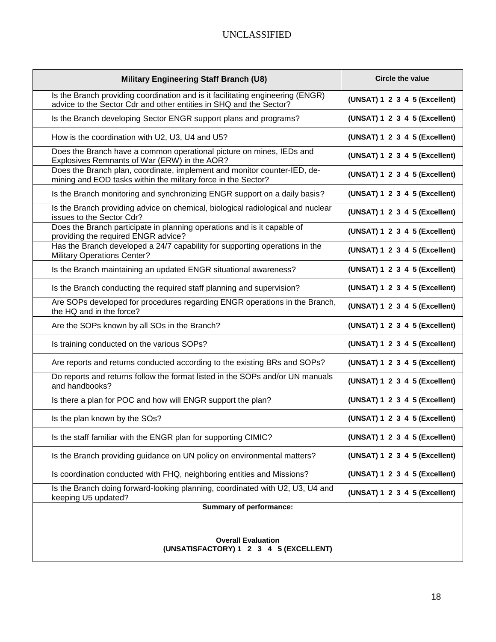| <b>Military Engineering Staff Branch (U8)</b>                                                                                                        | <b>Circle the value</b>       |
|------------------------------------------------------------------------------------------------------------------------------------------------------|-------------------------------|
| Is the Branch providing coordination and is it facilitating engineering (ENGR)<br>advice to the Sector Cdr and other entities in SHQ and the Sector? | (UNSAT) 1 2 3 4 5 (Excellent) |
| Is the Branch developing Sector ENGR support plans and programs?                                                                                     | (UNSAT) 1 2 3 4 5 (Excellent) |
| How is the coordination with U2, U3, U4 and U5?                                                                                                      | (UNSAT) 1 2 3 4 5 (Excellent) |
| Does the Branch have a common operational picture on mines, IEDs and<br>Explosives Remnants of War (ERW) in the AOR?                                 | (UNSAT) 1 2 3 4 5 (Excellent) |
| Does the Branch plan, coordinate, implement and monitor counter-IED, de-<br>mining and EOD tasks within the military force in the Sector?            | (UNSAT) 1 2 3 4 5 (Excellent) |
| Is the Branch monitoring and synchronizing ENGR support on a daily basis?                                                                            | (UNSAT) 1 2 3 4 5 (Excellent) |
| Is the Branch providing advice on chemical, biological radiological and nuclear<br>issues to the Sector Cdr?                                         | (UNSAT) 1 2 3 4 5 (Excellent) |
| Does the Branch participate in planning operations and is it capable of<br>providing the required ENGR advice?                                       | (UNSAT) 1 2 3 4 5 (Excellent) |
| Has the Branch developed a 24/7 capability for supporting operations in the<br><b>Military Operations Center?</b>                                    | (UNSAT) 1 2 3 4 5 (Excellent) |
| Is the Branch maintaining an updated ENGR situational awareness?                                                                                     | (UNSAT) 1 2 3 4 5 (Excellent) |
| Is the Branch conducting the required staff planning and supervision?                                                                                | (UNSAT) 1 2 3 4 5 (Excellent) |
| Are SOPs developed for procedures regarding ENGR operations in the Branch,<br>the HQ and in the force?                                               | (UNSAT) 1 2 3 4 5 (Excellent) |
| Are the SOPs known by all SOs in the Branch?                                                                                                         | (UNSAT) 1 2 3 4 5 (Excellent) |
| Is training conducted on the various SOPs?                                                                                                           | (UNSAT) 1 2 3 4 5 (Excellent) |
| Are reports and returns conducted according to the existing BRs and SOPs?                                                                            | (UNSAT) 1 2 3 4 5 (Excellent) |
| Do reports and returns follow the format listed in the SOPs and/or UN manuals<br>and handbooks?                                                      | (UNSAT) 1 2 3 4 5 (Excellent) |
| Is there a plan for POC and how will ENGR support the plan?                                                                                          | (UNSAT) 1 2 3 4 5 (Excellent) |
| Is the plan known by the SOs?                                                                                                                        | (UNSAT) 1 2 3 4 5 (Excellent) |
| Is the staff familiar with the ENGR plan for supporting CIMIC?                                                                                       | (UNSAT) 1 2 3 4 5 (Excellent) |
| Is the Branch providing guidance on UN policy on environmental matters?                                                                              | (UNSAT) 1 2 3 4 5 (Excellent) |
| Is coordination conducted with FHQ, neighboring entities and Missions?                                                                               | (UNSAT) 1 2 3 4 5 (Excellent) |
| Is the Branch doing forward-looking planning, coordinated with U2, U3, U4 and<br>keeping U5 updated?                                                 | (UNSAT) 1 2 3 4 5 (Excellent) |
| <b>Summary of performance:</b>                                                                                                                       |                               |
|                                                                                                                                                      |                               |
| <b>Overall Evaluation</b>                                                                                                                            |                               |

**(UNSATISFACTORY) 1 2 3 4 5 (EXCELLENT)**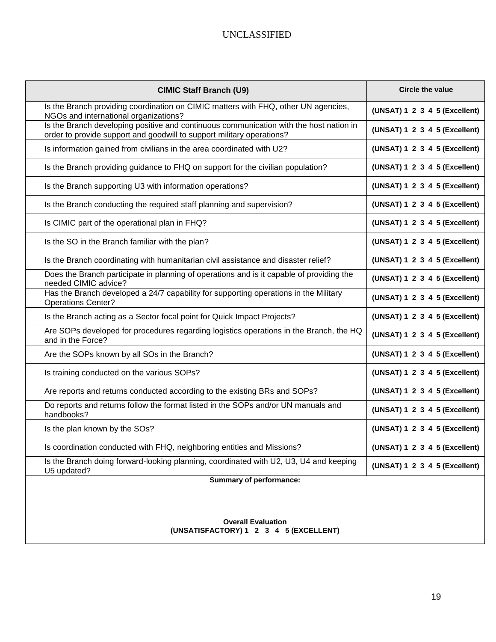| <b>CIMIC Staff Branch (U9)</b>                                                                                                                                  | <b>Circle the value</b>       |
|-----------------------------------------------------------------------------------------------------------------------------------------------------------------|-------------------------------|
| Is the Branch providing coordination on CIMIC matters with FHQ, other UN agencies,<br>NGOs and international organizations?                                     | (UNSAT) 1 2 3 4 5 (Excellent) |
| Is the Branch developing positive and continuous communication with the host nation in<br>order to provide support and goodwill to support military operations? | (UNSAT) 1 2 3 4 5 (Excellent) |
| Is information gained from civilians in the area coordinated with U2?                                                                                           | (UNSAT) 1 2 3 4 5 (Excellent) |
| Is the Branch providing guidance to FHQ on support for the civilian population?                                                                                 | (UNSAT) 1 2 3 4 5 (Excellent) |
| Is the Branch supporting U3 with information operations?                                                                                                        | (UNSAT) 1 2 3 4 5 (Excellent) |
| Is the Branch conducting the required staff planning and supervision?                                                                                           | (UNSAT) 1 2 3 4 5 (Excellent) |
| Is CIMIC part of the operational plan in FHQ?                                                                                                                   | (UNSAT) 1 2 3 4 5 (Excellent) |
| Is the SO in the Branch familiar with the plan?                                                                                                                 | (UNSAT) 1 2 3 4 5 (Excellent) |
| Is the Branch coordinating with humanitarian civil assistance and disaster relief?                                                                              | (UNSAT) 1 2 3 4 5 (Excellent) |
| Does the Branch participate in planning of operations and is it capable of providing the<br>needed CIMIC advice?                                                | (UNSAT) 1 2 3 4 5 (Excellent) |
| Has the Branch developed a 24/7 capability for supporting operations in the Military<br><b>Operations Center?</b>                                               | (UNSAT) 1 2 3 4 5 (Excellent) |
| Is the Branch acting as a Sector focal point for Quick Impact Projects?                                                                                         | (UNSAT) 1 2 3 4 5 (Excellent) |
| Are SOPs developed for procedures regarding logistics operations in the Branch, the HQ<br>and in the Force?                                                     | (UNSAT) 1 2 3 4 5 (Excellent) |
| Are the SOPs known by all SOs in the Branch?                                                                                                                    | (UNSAT) 1 2 3 4 5 (Excellent) |
| Is training conducted on the various SOPs?                                                                                                                      | (UNSAT) 1 2 3 4 5 (Excellent) |
| Are reports and returns conducted according to the existing BRs and SOPs?                                                                                       | (UNSAT) 1 2 3 4 5 (Excellent) |
| Do reports and returns follow the format listed in the SOPs and/or UN manuals and<br>handbooks?                                                                 | (UNSAT) 1 2 3 4 5 (Excellent) |
| Is the plan known by the SOs?                                                                                                                                   | (UNSAT) 1 2 3 4 5 (Excellent) |
| Is coordination conducted with FHQ, neighboring entities and Missions?                                                                                          | (UNSAT) 1 2 3 4 5 (Excellent) |
| Is the Branch doing forward-looking planning, coordinated with U2, U3, U4 and keeping<br>U5 updated?                                                            | (UNSAT) 1 2 3 4 5 (Excellent) |
| Summary of performance:                                                                                                                                         |                               |
|                                                                                                                                                                 |                               |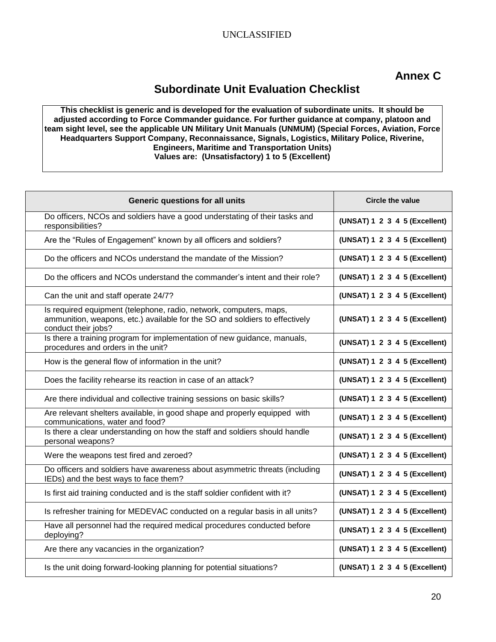# **Annex C**

# **Subordinate Unit Evaluation Checklist**

**This checklist is generic and is developed for the evaluation of subordinate units. It should be adjusted according to Force Commander guidance. For further guidance at company, platoon and team sight level, see the applicable UN Military Unit Manuals (UNMUM) (Special Forces, Aviation, Force Headquarters Support Company, Reconnaissance, Signals, Logistics, Military Police, Riverine, Engineers, Maritime and Transportation Units) Values are: (Unsatisfactory) 1 to 5 (Excellent)**

| Generic questions for all units                                                                                                                                          | <b>Circle the value</b>       |
|--------------------------------------------------------------------------------------------------------------------------------------------------------------------------|-------------------------------|
| Do officers, NCOs and soldiers have a good understating of their tasks and<br>responsibilities?                                                                          | (UNSAT) 1 2 3 4 5 (Excellent) |
| Are the "Rules of Engagement" known by all officers and soldiers?                                                                                                        | (UNSAT) 1 2 3 4 5 (Excellent) |
| Do the officers and NCOs understand the mandate of the Mission?                                                                                                          | (UNSAT) 1 2 3 4 5 (Excellent) |
| Do the officers and NCOs understand the commander's intent and their role?                                                                                               | (UNSAT) 1 2 3 4 5 (Excellent) |
| Can the unit and staff operate 24/7?                                                                                                                                     | (UNSAT) 1 2 3 4 5 (Excellent) |
| Is required equipment (telephone, radio, network, computers, maps,<br>ammunition, weapons, etc.) available for the SO and soldiers to effectively<br>conduct their jobs? | (UNSAT) 1 2 3 4 5 (Excellent) |
| Is there a training program for implementation of new guidance, manuals,<br>procedures and orders in the unit?                                                           | (UNSAT) 1 2 3 4 5 (Excellent) |
| How is the general flow of information in the unit?                                                                                                                      | (UNSAT) 1 2 3 4 5 (Excellent) |
| Does the facility rehearse its reaction in case of an attack?                                                                                                            | (UNSAT) 1 2 3 4 5 (Excellent) |
| Are there individual and collective training sessions on basic skills?                                                                                                   | (UNSAT) 1 2 3 4 5 (Excellent) |
| Are relevant shelters available, in good shape and properly equipped with<br>communications, water and food?                                                             | (UNSAT) 1 2 3 4 5 (Excellent) |
| Is there a clear understanding on how the staff and soldiers should handle<br>personal weapons?                                                                          | (UNSAT) 1 2 3 4 5 (Excellent) |
| Were the weapons test fired and zeroed?                                                                                                                                  | (UNSAT) 1 2 3 4 5 (Excellent) |
| Do officers and soldiers have awareness about asymmetric threats (including<br>IEDs) and the best ways to face them?                                                     | (UNSAT) 1 2 3 4 5 (Excellent) |
| Is first aid training conducted and is the staff soldier confident with it?                                                                                              | (UNSAT) 1 2 3 4 5 (Excellent) |
| Is refresher training for MEDEVAC conducted on a regular basis in all units?                                                                                             | (UNSAT) 1 2 3 4 5 (Excellent) |
| Have all personnel had the required medical procedures conducted before<br>deploying?                                                                                    | (UNSAT) 1 2 3 4 5 (Excellent) |
| Are there any vacancies in the organization?                                                                                                                             | (UNSAT) 1 2 3 4 5 (Excellent) |
| Is the unit doing forward-looking planning for potential situations?                                                                                                     | (UNSAT) 1 2 3 4 5 (Excellent) |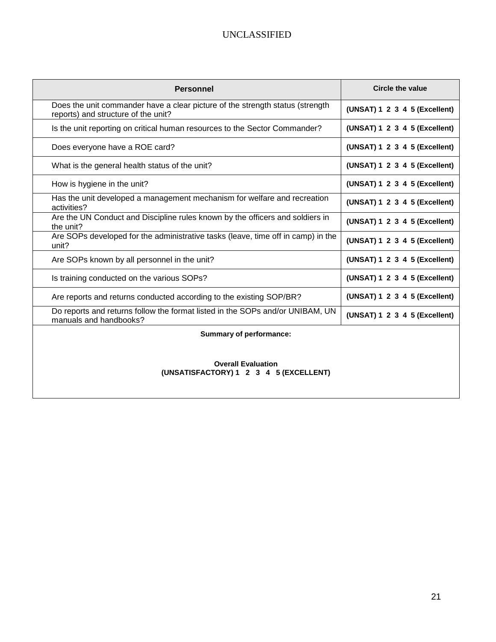| <b>Personnel</b>                                                                                                     | <b>Circle the value</b>       |
|----------------------------------------------------------------------------------------------------------------------|-------------------------------|
| Does the unit commander have a clear picture of the strength status (strength<br>reports) and structure of the unit? | (UNSAT) 1 2 3 4 5 (Excellent) |
| Is the unit reporting on critical human resources to the Sector Commander?                                           | (UNSAT) 1 2 3 4 5 (Excellent) |
| Does everyone have a ROE card?                                                                                       | (UNSAT) 1 2 3 4 5 (Excellent) |
| What is the general health status of the unit?                                                                       | (UNSAT) 1 2 3 4 5 (Excellent) |
| How is hygiene in the unit?                                                                                          | (UNSAT) 1 2 3 4 5 (Excellent) |
| Has the unit developed a management mechanism for welfare and recreation<br>activities?                              | (UNSAT) 1 2 3 4 5 (Excellent) |
| Are the UN Conduct and Discipline rules known by the officers and soldiers in<br>the unit?                           | (UNSAT) 1 2 3 4 5 (Excellent) |
| Are SOPs developed for the administrative tasks (leave, time off in camp) in the<br>unit?                            | (UNSAT) 1 2 3 4 5 (Excellent) |
| Are SOPs known by all personnel in the unit?                                                                         | (UNSAT) 1 2 3 4 5 (Excellent) |
| Is training conducted on the various SOPs?                                                                           | (UNSAT) 1 2 3 4 5 (Excellent) |
| Are reports and returns conducted according to the existing SOP/BR?                                                  | (UNSAT) 1 2 3 4 5 (Excellent) |
| Do reports and returns follow the format listed in the SOPs and/or UNIBAM, UN<br>manuals and handbooks?              | (UNSAT) 1 2 3 4 5 (Excellent) |
| <b>Summary of performance:</b>                                                                                       |                               |
|                                                                                                                      |                               |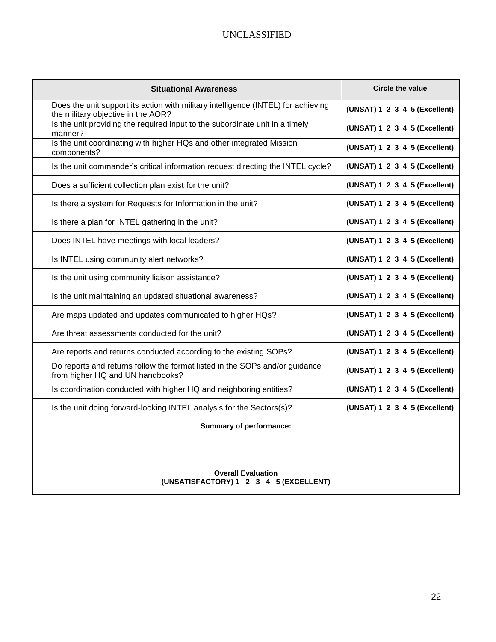| <b>Situational Awareness</b>                                                                                            | <b>Circle the value</b>       |
|-------------------------------------------------------------------------------------------------------------------------|-------------------------------|
| Does the unit support its action with military intelligence (INTEL) for achieving<br>the military objective in the AOR? | (UNSAT) 1 2 3 4 5 (Excellent) |
| Is the unit providing the required input to the subordinate unit in a timely<br>manner?                                 | (UNSAT) 1 2 3 4 5 (Excellent) |
| Is the unit coordinating with higher HQs and other integrated Mission<br>components?                                    | (UNSAT) 1 2 3 4 5 (Excellent) |
| Is the unit commander's critical information request directing the INTEL cycle?                                         | (UNSAT) 1 2 3 4 5 (Excellent) |
| Does a sufficient collection plan exist for the unit?                                                                   | (UNSAT) 1 2 3 4 5 (Excellent) |
| Is there a system for Requests for Information in the unit?                                                             | (UNSAT) 1 2 3 4 5 (Excellent) |
| Is there a plan for INTEL gathering in the unit?                                                                        | (UNSAT) 1 2 3 4 5 (Excellent) |
| Does INTEL have meetings with local leaders?                                                                            | (UNSAT) 1 2 3 4 5 (Excellent) |
| Is INTEL using community alert networks?                                                                                | (UNSAT) 1 2 3 4 5 (Excellent) |
| Is the unit using community liaison assistance?                                                                         | (UNSAT) 1 2 3 4 5 (Excellent) |
| Is the unit maintaining an updated situational awareness?                                                               | (UNSAT) 1 2 3 4 5 (Excellent) |
| Are maps updated and updates communicated to higher HQs?                                                                | (UNSAT) 1 2 3 4 5 (Excellent) |
| Are threat assessments conducted for the unit?                                                                          | (UNSAT) 1 2 3 4 5 (Excellent) |
| Are reports and returns conducted according to the existing SOPs?                                                       | (UNSAT) 1 2 3 4 5 (Excellent) |
| Do reports and returns follow the format listed in the SOPs and/or guidance<br>from higher HQ and UN handbooks?         | (UNSAT) 1 2 3 4 5 (Excellent) |
| Is coordination conducted with higher HQ and neighboring entities?                                                      | (UNSAT) 1 2 3 4 5 (Excellent) |
| Is the unit doing forward-looking INTEL analysis for the Sectors(s)?                                                    | (UNSAT) 1 2 3 4 5 (Excellent) |

**Summary of performance:**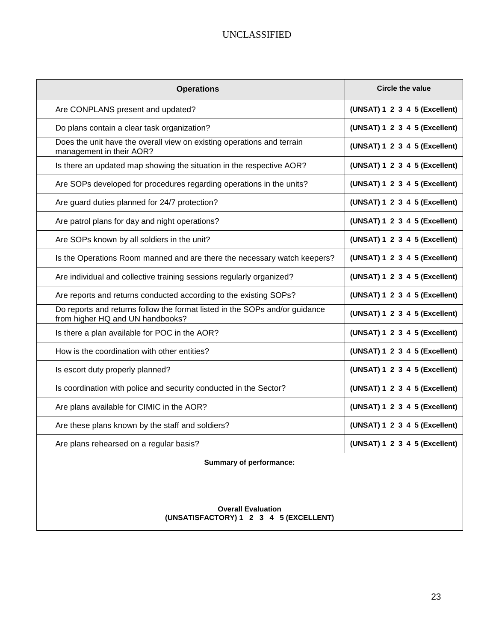| <b>Operations</b>                                                                                               | <b>Circle the value</b>       |
|-----------------------------------------------------------------------------------------------------------------|-------------------------------|
| Are CONPLANS present and updated?                                                                               | (UNSAT) 1 2 3 4 5 (Excellent) |
| Do plans contain a clear task organization?                                                                     | (UNSAT) 1 2 3 4 5 (Excellent) |
| Does the unit have the overall view on existing operations and terrain<br>management in their AOR?              | (UNSAT) 1 2 3 4 5 (Excellent) |
| Is there an updated map showing the situation in the respective AOR?                                            | (UNSAT) 1 2 3 4 5 (Excellent) |
| Are SOPs developed for procedures regarding operations in the units?                                            | (UNSAT) 1 2 3 4 5 (Excellent) |
| Are guard duties planned for 24/7 protection?                                                                   | (UNSAT) 1 2 3 4 5 (Excellent) |
| Are patrol plans for day and night operations?                                                                  | (UNSAT) 1 2 3 4 5 (Excellent) |
| Are SOPs known by all soldiers in the unit?                                                                     | (UNSAT) 1 2 3 4 5 (Excellent) |
| Is the Operations Room manned and are there the necessary watch keepers?                                        | (UNSAT) 1 2 3 4 5 (Excellent) |
| Are individual and collective training sessions regularly organized?                                            | (UNSAT) 1 2 3 4 5 (Excellent) |
| Are reports and returns conducted according to the existing SOPs?                                               | (UNSAT) 1 2 3 4 5 (Excellent) |
| Do reports and returns follow the format listed in the SOPs and/or guidance<br>from higher HQ and UN handbooks? | (UNSAT) 1 2 3 4 5 (Excellent) |
| Is there a plan available for POC in the AOR?                                                                   | (UNSAT) 1 2 3 4 5 (Excellent) |
| How is the coordination with other entities?                                                                    | (UNSAT) 1 2 3 4 5 (Excellent) |
| Is escort duty properly planned?                                                                                | (UNSAT) 1 2 3 4 5 (Excellent) |
| Is coordination with police and security conducted in the Sector?                                               | (UNSAT) 1 2 3 4 5 (Excellent) |
| Are plans available for CIMIC in the AOR?                                                                       | (UNSAT) 1 2 3 4 5 (Excellent) |
| Are these plans known by the staff and soldiers?                                                                | (UNSAT) 1 2 3 4 5 (Excellent) |
| Are plans rehearsed on a regular basis?                                                                         | (UNSAT) 1 2 3 4 5 (Excellent) |

**Summary of performance:**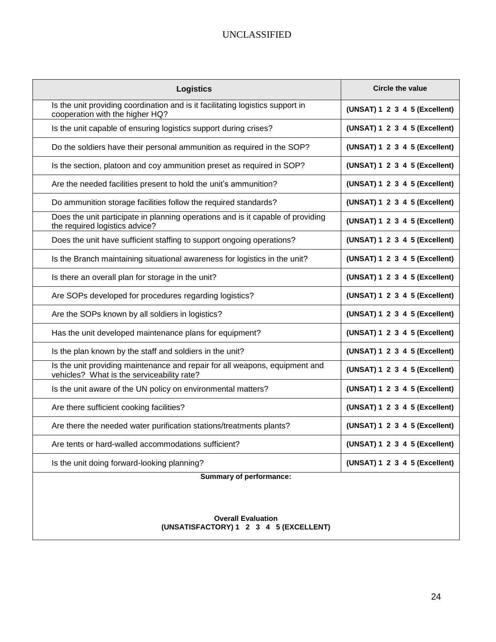| <b>Logistics</b>                                                                                                          | Circle the value              |
|---------------------------------------------------------------------------------------------------------------------------|-------------------------------|
| Is the unit providing coordination and is it facilitating logistics support in<br>cooperation with the higher HQ?         | (UNSAT) 1 2 3 4 5 (Excellent) |
| Is the unit capable of ensuring logistics support during crises?                                                          | (UNSAT) 1 2 3 4 5 (Excellent) |
| Do the soldiers have their personal ammunition as required in the SOP?                                                    | (UNSAT) 1 2 3 4 5 (Excellent) |
| Is the section, platoon and coy ammunition preset as required in SOP?                                                     | (UNSAT) 1 2 3 4 5 (Excellent) |
| Are the needed facilities present to hold the unit's ammunition?                                                          | (UNSAT) 1 2 3 4 5 (Excellent) |
| Do ammunition storage facilities follow the required standards?                                                           | (UNSAT) 1 2 3 4 5 (Excellent) |
| Does the unit participate in planning operations and is it capable of providing<br>the required logistics advice?         | (UNSAT) 1 2 3 4 5 (Excellent) |
| Does the unit have sufficient staffing to support ongoing operations?                                                     | (UNSAT) 1 2 3 4 5 (Excellent) |
| Is the Branch maintaining situational awareness for logistics in the unit?                                                | (UNSAT) 1 2 3 4 5 (Excellent) |
| Is there an overall plan for storage in the unit?                                                                         | (UNSAT) 1 2 3 4 5 (Excellent) |
| Are SOPs developed for procedures regarding logistics?                                                                    | (UNSAT) 1 2 3 4 5 (Excellent) |
| Are the SOPs known by all soldiers in logistics?                                                                          | (UNSAT) 1 2 3 4 5 (Excellent) |
| Has the unit developed maintenance plans for equipment?                                                                   | (UNSAT) 1 2 3 4 5 (Excellent) |
| Is the plan known by the staff and soldiers in the unit?                                                                  | (UNSAT) 1 2 3 4 5 (Excellent) |
| Is the unit providing maintenance and repair for all weapons, equipment and<br>vehicles? What is the serviceability rate? | (UNSAT) 1 2 3 4 5 (Excellent) |
| Is the unit aware of the UN policy on environmental matters?                                                              | (UNSAT) 1 2 3 4 5 (Excellent) |
| Are there sufficient cooking facilities?                                                                                  | (UNSAT) 1 2 3 4 5 (Excellent) |
| Are there the needed water purification stations/treatments plants?                                                       | (UNSAT) 1 2 3 4 5 (Excellent) |
| Are tents or hard-walled accommodations sufficient?                                                                       | (UNSAT) 1 2 3 4 5 (Excellent) |
| Is the unit doing forward-looking planning?                                                                               | (UNSAT) 1 2 3 4 5 (Excellent) |
| <b>Summary of performance:</b>                                                                                            |                               |